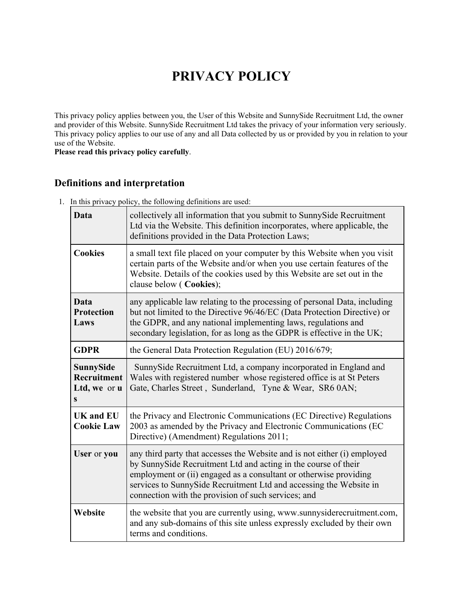# **PRIVACY POLICY**

This privacy policy applies between you, the User of this Website and SunnySide Recruitment Ltd, the owner and provider of this Website. SunnySide Recruitment Ltd takes the privacy of your information very seriously. This privacy policy applies to our use of any and all Data collected by us or provided by you in relation to your use of the Website.

**Please read this privacy policy carefully**.

## **Definitions and interpretation**

1. In this privacy policy, the following definitions are used:

| <b>Data</b>                                   | collectively all information that you submit to SunnySide Recruitment<br>Ltd via the Website. This definition incorporates, where applicable, the<br>definitions provided in the Data Protection Laws;                                                                                                                                       |  |
|-----------------------------------------------|----------------------------------------------------------------------------------------------------------------------------------------------------------------------------------------------------------------------------------------------------------------------------------------------------------------------------------------------|--|
| <b>Cookies</b>                                | a small text file placed on your computer by this Website when you visit<br>certain parts of the Website and/or when you use certain features of the<br>Website. Details of the cookies used by this Website are set out in the<br>clause below (Cookies);                                                                                   |  |
| Data<br><b>Protection</b><br>Laws             | any applicable law relating to the processing of personal Data, including<br>but not limited to the Directive 96/46/EC (Data Protection Directive) or<br>the GDPR, and any national implementing laws, regulations and<br>secondary legislation, for as long as the GDPR is effective in the UK;                                             |  |
| <b>GDPR</b>                                   | the General Data Protection Regulation (EU) 2016/679;                                                                                                                                                                                                                                                                                        |  |
| SunnySide<br>Recruitment<br>Ltd, we or u<br>S | SunnySide Recruitment Ltd, a company incorporated in England and<br>Wales with registered number whose registered office is at St Peters<br>Gate, Charles Street, Sunderland, Tyne & Wear, SR6 0AN;                                                                                                                                          |  |
| <b>UK and EU</b><br><b>Cookie Law</b>         | the Privacy and Electronic Communications (EC Directive) Regulations<br>2003 as amended by the Privacy and Electronic Communications (EC<br>Directive) (Amendment) Regulations 2011;                                                                                                                                                         |  |
| User or you                                   | any third party that accesses the Website and is not either (i) employed<br>by SunnySide Recruitment Ltd and acting in the course of their<br>employment or (ii) engaged as a consultant or otherwise providing<br>services to SunnySide Recruitment Ltd and accessing the Website in<br>connection with the provision of such services; and |  |
| Website                                       | the website that you are currently using, www.sunnysiderecruitment.com,<br>and any sub-domains of this site unless expressly excluded by their own<br>terms and conditions.                                                                                                                                                                  |  |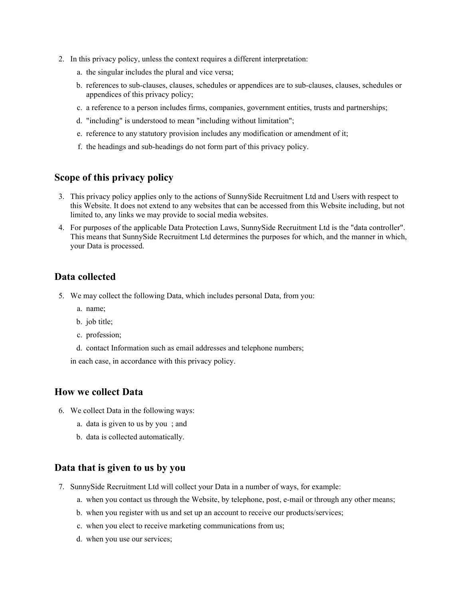- 2. In this privacy policy, unless the context requires a different interpretation:
	- a. the singular includes the plural and vice versa;
	- b. references to sub-clauses, clauses, schedules or appendices are to sub-clauses, clauses, schedules or appendices of this privacy policy;
	- c. a reference to a person includes firms, companies, government entities, trusts and partnerships;
	- d. "including" is understood to mean "including without limitation";
	- e. reference to any statutory provision includes any modification or amendment of it;
	- f. the headings and sub-headings do not form part of this privacy policy.

#### **Scope of this privacy policy**

- 3. This privacy policy applies only to the actions of SunnySide Recruitment Ltd and Users with respect to this Website. It does not extend to any websites that can be accessed from this Website including, but not limited to, any links we may provide to social media websites.
- 4. For purposes of the applicable Data Protection Laws, SunnySide Recruitment Ltd is the "data controller". This means that SunnySide Recruitment Ltd determines the purposes for which, and the manner in which, your Data is processed.

#### **Data collected**

- 5. We may collect the following Data, which includes personal Data, from you:
	- a. name;
	- b. job title;
	- c. profession;
	- d. contact Information such as email addresses and telephone numbers;

in each case, in accordance with this privacy policy.

#### **How we collect Data**

- 6. We collect Data in the following ways:
	- a. data is given to us by you ; and
	- b. data is collected automatically.

#### **Data that is given to us by you**

- 7. SunnySide Recruitment Ltd will collect your Data in a number of ways, for example:
	- a. when you contact us through the Website, by telephone, post, e-mail or through any other means;
	- b. when you register with us and set up an account to receive our products/services;
	- c. when you elect to receive marketing communications from us;
	- d. when you use our services;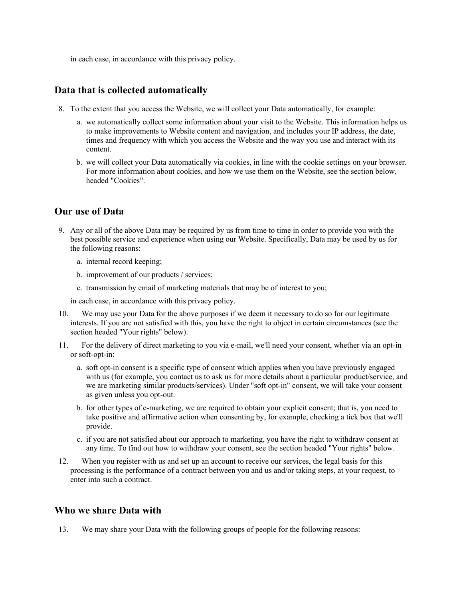in each case, in accordance with this privacy policy.

#### **Data that is collected automatically**

- 8. To the extent that you access the Website, we will collect your Data automatically, for example:
	- a. we automatically collect some information about your visit to the Website. This information helps us to make improvements to Website content and navigation, and includes your IP address, the date, times and frequency with which you access the Website and the way you use and interact with its content.
	- b. we will collect your Data automatically via cookies, in line with the cookie settings on your browser. For more information about cookies, and how we use them on the Website, see the section below, headed "Cookies".

## **Our use of Data**

- 9. Any or all of the above Data may be required by us from time to time in order to provide you with the best possible service and experience when using our Website. Specifically, Data may be used by us for the following reasons:
	- a. internal record keeping;
	- b. improvement of our products / services;
	- c. transmission by email of marketing materials that may be of interest to you;

in each case, in accordance with this privacy policy.

- 10. We may use your Data for the above purposes if we deem it necessary to do so for our legitimate interests. If you are not satisfied with this, you have the right to object in certain circumstances (see the section headed "Your rights" below).
- 11. For the delivery of direct marketing to you via e-mail, we'll need your consent, whether via an opt-in or soft-opt-in:
	- a. soft opt-in consent is a specific type of consent which applies when you have previously engaged with us (for example, you contact us to ask us for more details about a particular product/service, and we are marketing similar products/services). Under "soft opt-in" consent, we will take your consent as given unless you opt-out.
	- b. for other types of e-marketing, we are required to obtain your explicit consent; that is, you need to take positive and affirmative action when consenting by, for example, checking a tick box that we'll provide.
	- c. if you are not satisfied about our approach to marketing, you have the right to withdraw consent at any time. To find out how to withdraw your consent, see the section headed "Your rights" below.
- 12. When you register with us and set up an account to receive our services, the legal basis for this processing is the performance of a contract between you and us and/or taking steps, at your request, to enter into such a contract.

#### **Who we share Data with**

13. We may share your Data with the following groups of people for the following reasons: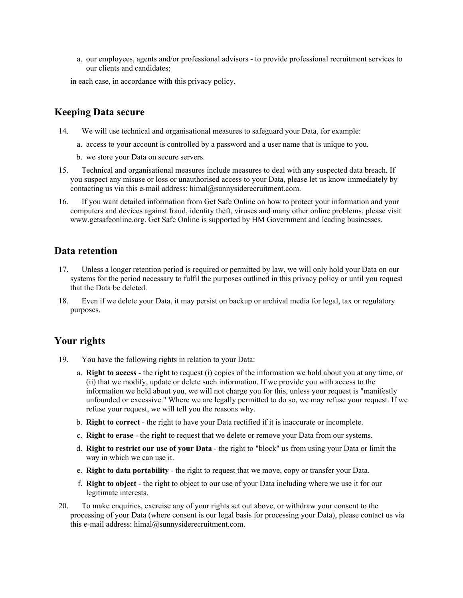a. our employees, agents and/or professional advisors - to provide professional recruitment services to our clients and candidates;

in each case, in accordance with this privacy policy.

#### **Keeping Data secure**

- 14. We will use technical and organisational measures to safeguard your Data, for example:
	- a. access to your account is controlled by a password and a user name that is unique to you.
	- b. we store your Data on secure servers.
- 15. Technical and organisational measures include measures to deal with any suspected data breach. If you suspect any misuse or loss or unauthorised access to your Data, please let us know immediately by contacting us via this e-mail address: himal@sunnysiderecruitment.com.
- 16. If you want detailed information from Get Safe Online on how to protect your information and your computers and devices against fraud, identity theft, viruses and many other online problems, please visit www.getsafeonline.org. Get Safe Online is supported by HM Government and leading businesses.

#### **Data retention**

- 17. Unless a longer retention period is required or permitted by law, we will only hold your Data on our systems for the period necessary to fulfil the purposes outlined in this privacy policy or until you request that the Data be deleted.
- 18. Even if we delete your Data, it may persist on backup or archival media for legal, tax or regulatory purposes.

#### **Your rights**

- 19. You have the following rights in relation to your Data:
	- a. **Right to access** the right to request (i) copies of the information we hold about you at any time, or (ii) that we modify, update or delete such information. If we provide you with access to the information we hold about you, we will not charge you for this, unless your request is "manifestly unfounded or excessive." Where we are legally permitted to do so, we may refuse your request. If we refuse your request, we will tell you the reasons why.
	- b. **Right to correct** the right to have your Data rectified if it is inaccurate or incomplete.
	- c. **Right to erase** the right to request that we delete or remove your Data from our systems.
	- d. **Right to restrict our use of your Data** the right to "block" us from using your Data or limit the way in which we can use it.
	- e. **Right to data portability** the right to request that we move, copy or transfer your Data.
	- f. **Right to object** the right to object to our use of your Data including where we use it for our legitimate interests.
- 20. To make enquiries, exercise any of your rights set out above, or withdraw your consent to the processing of your Data (where consent is our legal basis for processing your Data), please contact us via this e-mail address: himal@sunnysiderecruitment.com.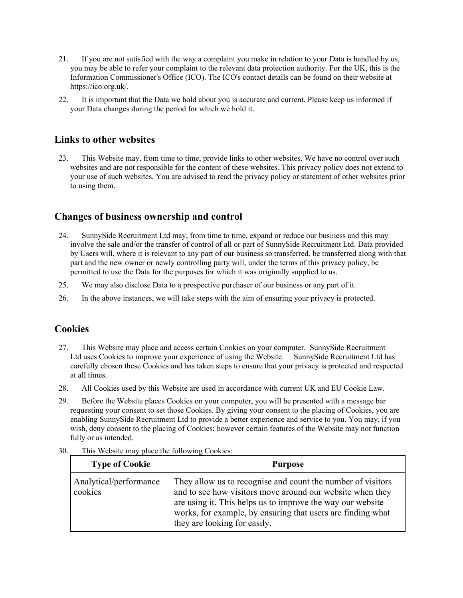- 21. If you are not satisfied with the way a complaint you make in relation to your Data is handled by us, you may be able to refer your complaint to the relevant data protection authority. For the UK, this is the Information Commissioner's Office (ICO). The ICO's contact details can be found on their website at https://ico.org.uk/.
- 22. It is important that the Data we hold about you is accurate and current. Please keep us informed if your Data changes during the period for which we hold it.

#### **Links to other websites**

23. This Website may, from time to time, provide links to other websites. We have no control over such websites and are not responsible for the content of these websites. This privacy policy does not extend to your use of such websites. You are advised to read the privacy policy or statement of other websites prior to using them.

### **Changes of business ownership and control**

- 24. SunnySide Recruitment Ltd may, from time to time, expand or reduce our business and this may involve the sale and/or the transfer of control of all or part of SunnySide Recruitment Ltd. Data provided by Users will, where it is relevant to any part of our business so transferred, be transferred along with that part and the new owner or newly controlling party will, under the terms of this privacy policy, be permitted to use the Data for the purposes for which it was originally supplied to us.
- 25. We may also disclose Data to a prospective purchaser of our business or any part of it.
- 26. In the above instances, we will take steps with the aim of ensuring your privacy is protected.

#### **Cookies**

- 27. This Website may place and access certain Cookies on your computer. SunnySide Recruitment Ltd uses Cookies to improve your experience of using the Website. SunnySide Recruitment Ltd has carefully chosen these Cookies and has taken steps to ensure that your privacy is protected and respected at all times.
- 28. All Cookies used by this Website are used in accordance with current UK and EU Cookie Law.
- 29. Before the Website places Cookies on your computer, you will be presented with a message bar requesting your consent to set those Cookies. By giving your consent to the placing of Cookies, you are enabling SunnySide Recruitment Ltd to provide a better experience and service to you. You may, if you wish, deny consent to the placing of Cookies; however certain features of the Website may not function fully or as intended.

| <b>Type of Cookie</b>             | <b>Purpose</b>                                                                                                                                                                                                                                                                        |
|-----------------------------------|---------------------------------------------------------------------------------------------------------------------------------------------------------------------------------------------------------------------------------------------------------------------------------------|
| Analytical/performance<br>cookies | They allow us to recognise and count the number of visitors<br>and to see how visitors move around our website when they<br>are using it. This helps us to improve the way our website<br>works, for example, by ensuring that users are finding what<br>they are looking for easily. |

30. This Website may place the following Cookies: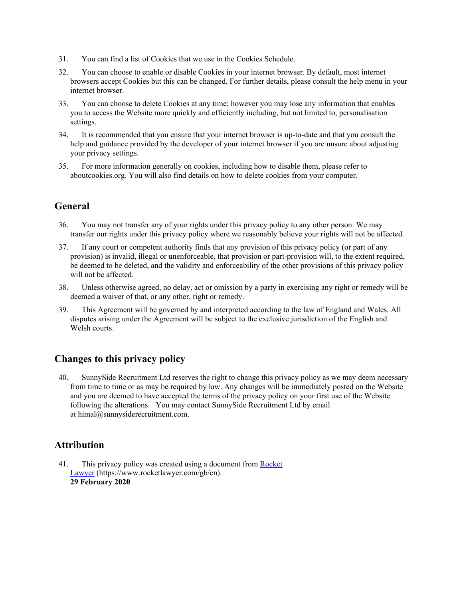- 31. You can find a list of Cookies that we use in the Cookies Schedule.
- 32. You can choose to enable or disable Cookies in your internet browser. By default, most internet browsers accept Cookies but this can be changed. For further details, please consult the help menu in your internet browser.
- 33. You can choose to delete Cookies at any time; however you may lose any information that enables you to access the Website more quickly and efficiently including, but not limited to, personalisation settings.
- 34. It is recommended that you ensure that your internet browser is up-to-date and that you consult the help and guidance provided by the developer of your internet browser if you are unsure about adjusting your privacy settings.
- 35. For more information generally on cookies, including how to disable them, please refer to aboutcookies.org. You will also find details on how to delete cookies from your computer.

## **General**

- 36. You may not transfer any of your rights under this privacy policy to any other person. We may transfer our rights under this privacy policy where we reasonably believe your rights will not be affected.
- 37. If any court or competent authority finds that any provision of this privacy policy (or part of any provision) is invalid, illegal or unenforceable, that provision or part-provision will, to the extent required, be deemed to be deleted, and the validity and enforceability of the other provisions of this privacy policy will not be affected.
- 38. Unless otherwise agreed, no delay, act or omission by a party in exercising any right or remedy will be deemed a waiver of that, or any other, right or remedy.
- 39. This Agreement will be governed by and interpreted according to the law of England and Wales. All disputes arising under the Agreement will be subject to the exclusive jurisdiction of the English and Welsh courts.

## **Changes to this privacy policy**

40. SunnySide Recruitment Ltd reserves the right to change this privacy policy as we may deem necessary from time to time or as may be required by law. Any changes will be immediately posted on the Website and you are deemed to have accepted the terms of the privacy policy on your first use of the Website following the alterations. You may contact SunnySide Recruitment Ltd by email at himal@sunnysiderecruitment.com.

## **Attribution**

41. This privacy policy was created using a document from Rocket [Lawyer](https://www.rocketlawyer.com/gb/en/) (https://www.rocketlawyer.com/gb/en). **29 February 2020**